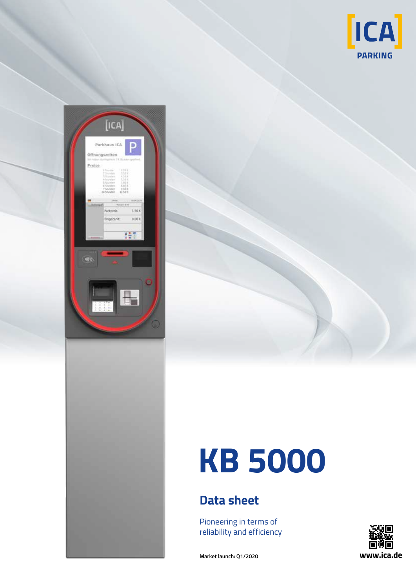





## **Data sheet**

Pioneering in terms of reliability and efficiency



**Market launch: Q1/2020**